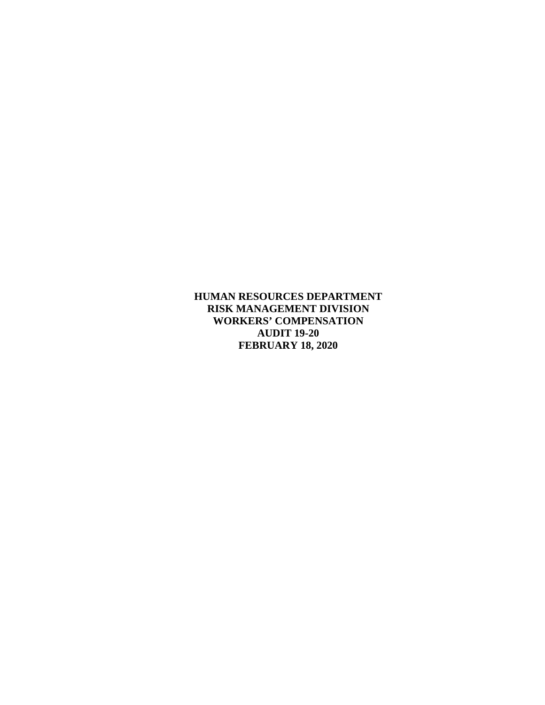**HUMAN RESOURCES DEPARTMENT RISK MANAGEMENT DIVISION WORKERS' COMPENSATION AUDIT 19-20 FEBRUARY 18, 2020**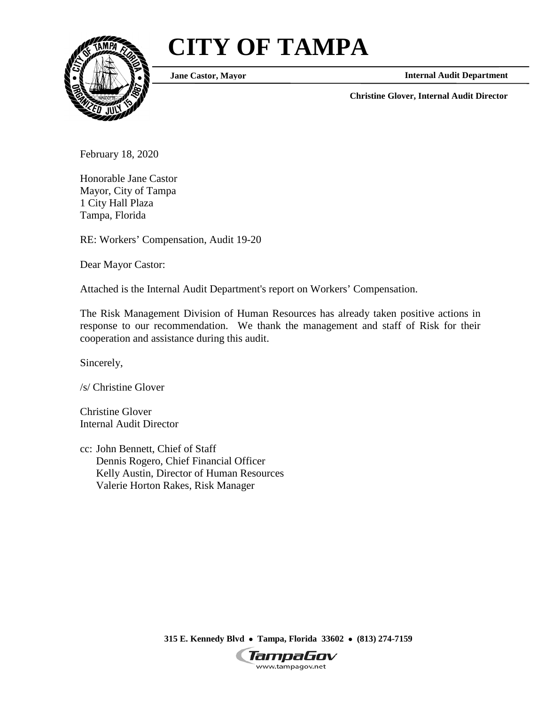# **CITY OF TAMPA**



**Jane Castor, Mayor**

**Internal Audit Department**

**Christine Glover, Internal Audit Director**

February 18, 2020

Honorable Jane Castor Mayor, City of Tampa 1 City Hall Plaza Tampa, Florida

RE: Workers' Compensation, Audit 19-20

Dear Mayor Castor:

Attached is the Internal Audit Department's report on Workers' Compensation.

The Risk Management Division of Human Resources has already taken positive actions in response to our recommendation. We thank the management and staff of Risk for their cooperation and assistance during this audit.

Sincerely,

/s/ Christine Glover

Christine Glover Internal Audit Director

cc: John Bennett, Chief of Staff Dennis Rogero, Chief Financial Officer Kelly Austin, Director of Human Resources Valerie Horton Rakes, Risk Manager

**315 E. Kennedy Blvd** • **Tampa, Florida 33602** • **(813) 274-7159**

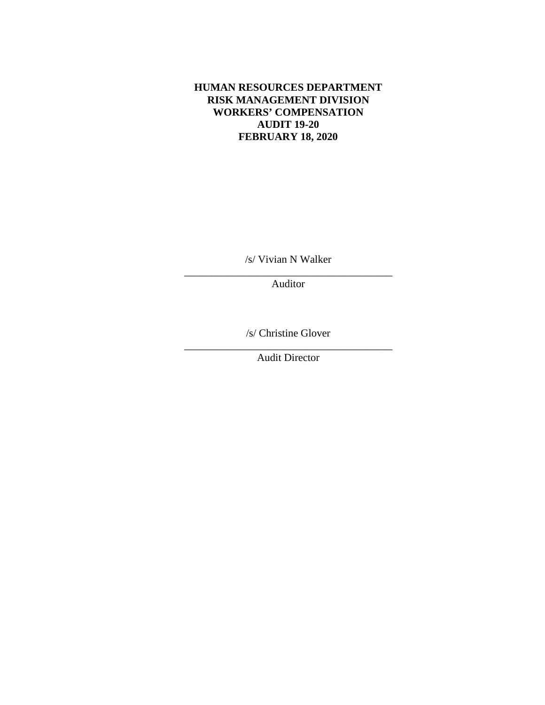## **HUMAN RESOURCES DEPARTMENT RISK MANAGEMENT DIVISION WORKERS' COMPENSATION AUDIT 19-20 FEBRUARY 18, 2020**

/s/ Vivian N Walker \_\_\_\_\_\_\_\_\_\_\_\_\_\_\_\_\_\_\_\_\_\_\_\_\_\_\_\_\_\_\_\_\_\_\_\_\_\_\_

Auditor

/s/ Christine Glover

\_\_\_\_\_\_\_\_\_\_\_\_\_\_\_\_\_\_\_\_\_\_\_\_\_\_\_\_\_\_\_\_\_\_\_\_\_\_\_ Audit Director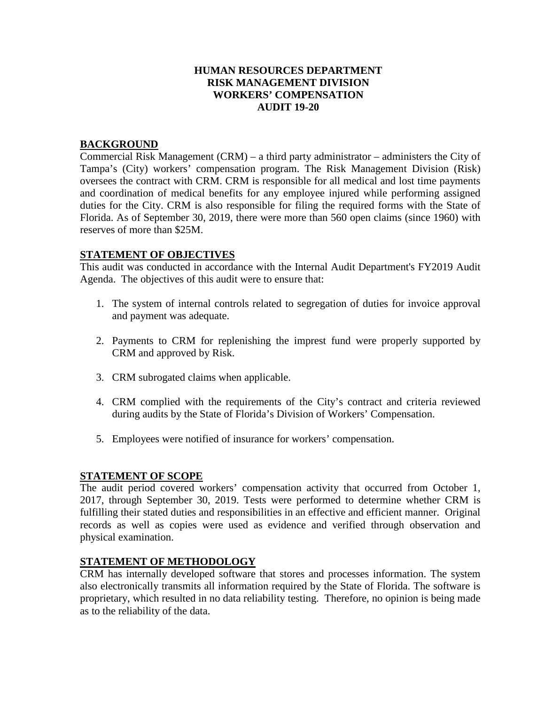### **HUMAN RESOURCES DEPARTMENT RISK MANAGEMENT DIVISION WORKERS' COMPENSATION AUDIT 19-20**

#### **BACKGROUND**

Commercial Risk Management (CRM) – a third party administrator – administers the City of Tampa's (City) workers' compensation program. The Risk Management Division (Risk) oversees the contract with CRM. CRM is responsible for all medical and lost time payments and coordination of medical benefits for any employee injured while performing assigned duties for the City. CRM is also responsible for filing the required forms with the State of Florida. As of September 30, 2019, there were more than 560 open claims (since 1960) with reserves of more than \$25M.

#### **STATEMENT OF OBJECTIVES**

This audit was conducted in accordance with the Internal Audit Department's FY2019 Audit Agenda. The objectives of this audit were to ensure that:

- 1. The system of internal controls related to segregation of duties for invoice approval and payment was adequate.
- 2. Payments to CRM for replenishing the imprest fund were properly supported by CRM and approved by Risk.
- 3. CRM subrogated claims when applicable.
- 4. CRM complied with the requirements of the City's contract and criteria reviewed during audits by the State of Florida's Division of Workers' Compensation.
- 5. Employees were notified of insurance for workers' compensation.

#### **STATEMENT OF SCOPE**

The audit period covered workers' compensation activity that occurred from October 1, 2017, through September 30, 2019. Tests were performed to determine whether CRM is fulfilling their stated duties and responsibilities in an effective and efficient manner. Original records as well as copies were used as evidence and verified through observation and physical examination.

#### **STATEMENT OF METHODOLOGY**

CRM has internally developed software that stores and processes information. The system also electronically transmits all information required by the State of Florida. The software is proprietary, which resulted in no data reliability testing. Therefore, no opinion is being made as to the reliability of the data.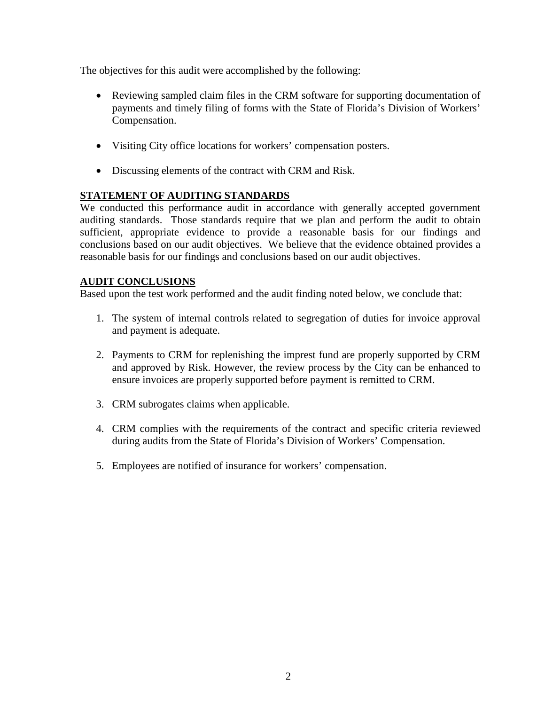The objectives for this audit were accomplished by the following:

- Reviewing sampled claim files in the CRM software for supporting documentation of payments and timely filing of forms with the State of Florida's Division of Workers' Compensation.
- Visiting City office locations for workers' compensation posters.
- Discussing elements of the contract with CRM and Risk.

# **STATEMENT OF AUDITING STANDARDS**

We conducted this performance audit in accordance with generally accepted government auditing standards. Those standards require that we plan and perform the audit to obtain sufficient, appropriate evidence to provide a reasonable basis for our findings and conclusions based on our audit objectives. We believe that the evidence obtained provides a reasonable basis for our findings and conclusions based on our audit objectives.

# **AUDIT CONCLUSIONS**

Based upon the test work performed and the audit finding noted below, we conclude that:

- 1. The system of internal controls related to segregation of duties for invoice approval and payment is adequate.
- 2. Payments to CRM for replenishing the imprest fund are properly supported by CRM and approved by Risk. However, the review process by the City can be enhanced to ensure invoices are properly supported before payment is remitted to CRM.
- 3. CRM subrogates claims when applicable.
- 4. CRM complies with the requirements of the contract and specific criteria reviewed during audits from the State of Florida's Division of Workers' Compensation.
- 5. Employees are notified of insurance for workers' compensation.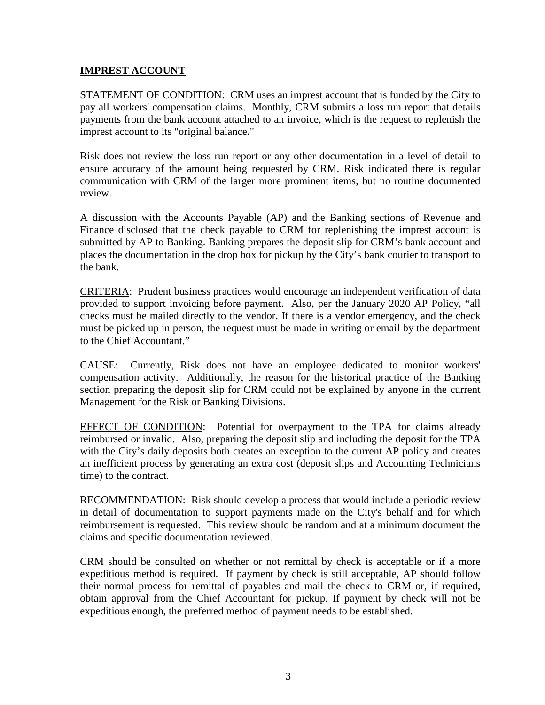## **IMPREST ACCOUNT**

STATEMENT OF CONDITION: CRM uses an imprest account that is funded by the City to pay all workers' compensation claims. Monthly, CRM submits a loss run report that details payments from the bank account attached to an invoice, which is the request to replenish the imprest account to its "original balance."

Risk does not review the loss run report or any other documentation in a level of detail to ensure accuracy of the amount being requested by CRM. Risk indicated there is regular communication with CRM of the larger more prominent items, but no routine documented review.

A discussion with the Accounts Payable (AP) and the Banking sections of Revenue and Finance disclosed that the check payable to CRM for replenishing the imprest account is submitted by AP to Banking. Banking prepares the deposit slip for CRM's bank account and places the documentation in the drop box for pickup by the City's bank courier to transport to the bank.

CRITERIA: Prudent business practices would encourage an independent verification of data provided to support invoicing before payment. Also, per the January 2020 AP Policy, "all checks must be mailed directly to the vendor. If there is a vendor emergency, and the check must be picked up in person, the request must be made in writing or email by the department to the Chief Accountant."

CAUSE: Currently, Risk does not have an employee dedicated to monitor workers' compensation activity. Additionally, the reason for the historical practice of the Banking section preparing the deposit slip for CRM could not be explained by anyone in the current Management for the Risk or Banking Divisions.

EFFECT OF CONDITION: Potential for overpayment to the TPA for claims already reimbursed or invalid. Also, preparing the deposit slip and including the deposit for the TPA with the City's daily deposits both creates an exception to the current AP policy and creates an inefficient process by generating an extra cost (deposit slips and Accounting Technicians time) to the contract.

RECOMMENDATION: Risk should develop a process that would include a periodic review in detail of documentation to support payments made on the City's behalf and for which reimbursement is requested. This review should be random and at a minimum document the claims and specific documentation reviewed.

CRM should be consulted on whether or not remittal by check is acceptable or if a more expeditious method is required. If payment by check is still acceptable, AP should follow their normal process for remittal of payables and mail the check to CRM or, if required, obtain approval from the Chief Accountant for pickup. If payment by check will not be expeditious enough, the preferred method of payment needs to be established.